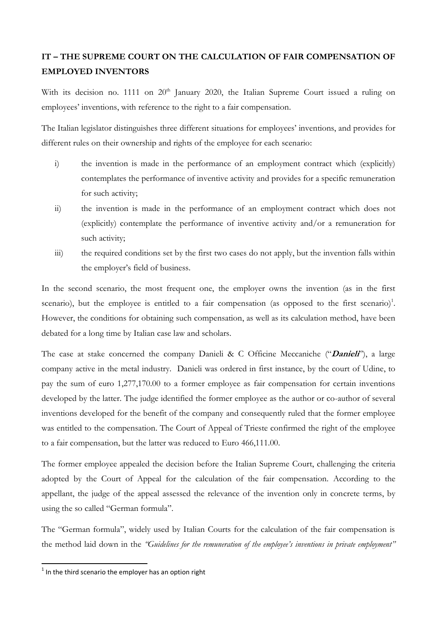## **IT – THE SUPREME COURT ON THE CALCULATION OF FAIR COMPENSATION OF EMPLOYED INVENTORS**

With its decision no. 1111 on  $20<sup>th</sup>$  January 2020, the Italian Supreme Court issued a ruling on employees' inventions, with reference to the right to a fair compensation.

The Italian legislator distinguishes three different situations for employees' inventions, and provides for different rules on their ownership and rights of the employee for each scenario:

- i) the invention is made in the performance of an employment contract which (explicitly) contemplates the performance of inventive activity and provides for a specific remuneration for such activity;
- ii) the invention is made in the performance of an employment contract which does not (explicitly) contemplate the performance of inventive activity and/or a remuneration for such activity;
- iii) the required conditions set by the first two cases do not apply, but the invention falls within the employer's field of business.

In the second scenario, the most frequent one, the employer owns the invention (as in the first scenario), but the employee is entitled to a fair compensation (as opposed to the first scenario)<sup>1</sup>. However, the conditions for obtaining such compensation, as well as its calculation method, have been debated for a long time by Italian case law and scholars.

The case at stake concerned the company Danieli & C Officine Meccaniche ("**Danieli**"), a large company active in the metal industry. Danieli was ordered in first instance, by the court of Udine, to pay the sum of euro 1,277,170.00 to a former employee as fair compensation for certain inventions developed by the latter. The judge identified the former employee as the author or co-author of several inventions developed for the benefit of the company and consequently ruled that the former employee was entitled to the compensation. The Court of Appeal of Trieste confirmed the right of the employee to a fair compensation, but the latter was reduced to Euro 466,111.00.

The former employee appealed the decision before the Italian Supreme Court, challenging the criteria adopted by the Court of Appeal for the calculation of the fair compensation. According to the appellant, the judge of the appeal assessed the relevance of the invention only in concrete terms, by using the so called "German formula".

The "German formula", widely used by Italian Courts for the calculation of the fair compensation is the method laid down in the *"Guidelines for the remuneration of the employee's inventions in private employment"*

1

 $1$  In the third scenario the employer has an option right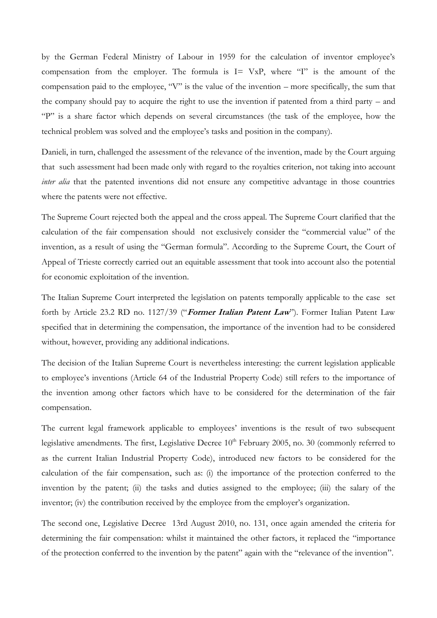by the German Federal Ministry of Labour in 1959 for the calculation of inventor employee's compensation from the employer. The formula is  $I = VxP$ , where "I" is the amount of the compensation paid to the employee, "V" is the value of the invention – more specifically, the sum that the company should pay to acquire the right to use the invention if patented from a third party – and "P" is a share factor which depends on several circumstances (the task of the employee, how the technical problem was solved and the employee's tasks and position in the company).

Danieli, in turn, challenged the assessment of the relevance of the invention, made by the Court arguing that such assessment had been made only with regard to the royalties criterion, not taking into account *inter alia* that the patented inventions did not ensure any competitive advantage in those countries where the patents were not effective.

The Supreme Court rejected both the appeal and the cross appeal. The Supreme Court clarified that the calculation of the fair compensation should not exclusively consider the "commercial value" of the invention, as a result of using the "German formula". According to the Supreme Court, the Court of Appeal of Trieste correctly carried out an equitable assessment that took into account also the potential for economic exploitation of the invention.

The Italian Supreme Court interpreted the legislation on patents temporally applicable to the case set forth by Article 23.2 RD no. 1127/39 ("**Former Italian Patent Law**"). Former Italian Patent Law specified that in determining the compensation, the importance of the invention had to be considered without, however, providing any additional indications.

The decision of the Italian Supreme Court is nevertheless interesting: the current legislation applicable to employee's inventions (Article 64 of the Industrial Property Code) still refers to the importance of the invention among other factors which have to be considered for the determination of the fair compensation.

The current legal framework applicable to employees' inventions is the result of two subsequent legislative amendments. The first, Legislative Decree 10<sup>th</sup> February 2005, no. 30 (commonly referred to as the current Italian Industrial Property Code), introduced new factors to be considered for the calculation of the fair compensation, such as: (i) the importance of the protection conferred to the invention by the patent; (ii) the tasks and duties assigned to the employee; (iii) the salary of the inventor; (iv) the contribution received by the employee from the employer's organization.

The second one, Legislative Decree 13rd August 2010, no. 131, once again amended the criteria for determining the fair compensation: whilst it maintained the other factors, it replaced the "importance of the protection conferred to the invention by the patent" again with the "relevance of the invention".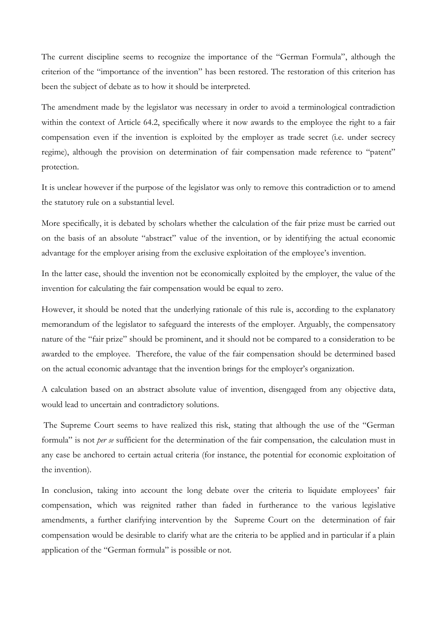The current discipline seems to recognize the importance of the "German Formula", although the criterion of the "importance of the invention" has been restored. The restoration of this criterion has been the subject of debate as to how it should be interpreted.

The amendment made by the legislator was necessary in order to avoid a terminological contradiction within the context of Article 64.2, specifically where it now awards to the employee the right to a fair compensation even if the invention is exploited by the employer as trade secret (i.e. under secrecy regime), although the provision on determination of fair compensation made reference to "patent" protection.

It is unclear however if the purpose of the legislator was only to remove this contradiction or to amend the statutory rule on a substantial level.

More specifically, it is debated by scholars whether the calculation of the fair prize must be carried out on the basis of an absolute "abstract" value of the invention, or by identifying the actual economic advantage for the employer arising from the exclusive exploitation of the employee's invention.

In the latter case, should the invention not be economically exploited by the employer, the value of the invention for calculating the fair compensation would be equal to zero.

However, it should be noted that the underlying rationale of this rule is, according to the explanatory memorandum of the legislator to safeguard the interests of the employer. Arguably, the compensatory nature of the "fair prize" should be prominent, and it should not be compared to a consideration to be awarded to the employee. Therefore, the value of the fair compensation should be determined based on the actual economic advantage that the invention brings for the employer's organization.

A calculation based on an abstract absolute value of invention, disengaged from any objective data, would lead to uncertain and contradictory solutions.

The Supreme Court seems to have realized this risk, stating that although the use of the "German formula" is not *per se* sufficient for the determination of the fair compensation, the calculation must in any case be anchored to certain actual criteria (for instance, the potential for economic exploitation of the invention).

In conclusion, taking into account the long debate over the criteria to liquidate employees' fair compensation, which was reignited rather than faded in furtherance to the various legislative amendments, a further clarifying intervention by the Supreme Court on the determination of fair compensation would be desirable to clarify what are the criteria to be applied and in particular if a plain application of the "German formula" is possible or not.